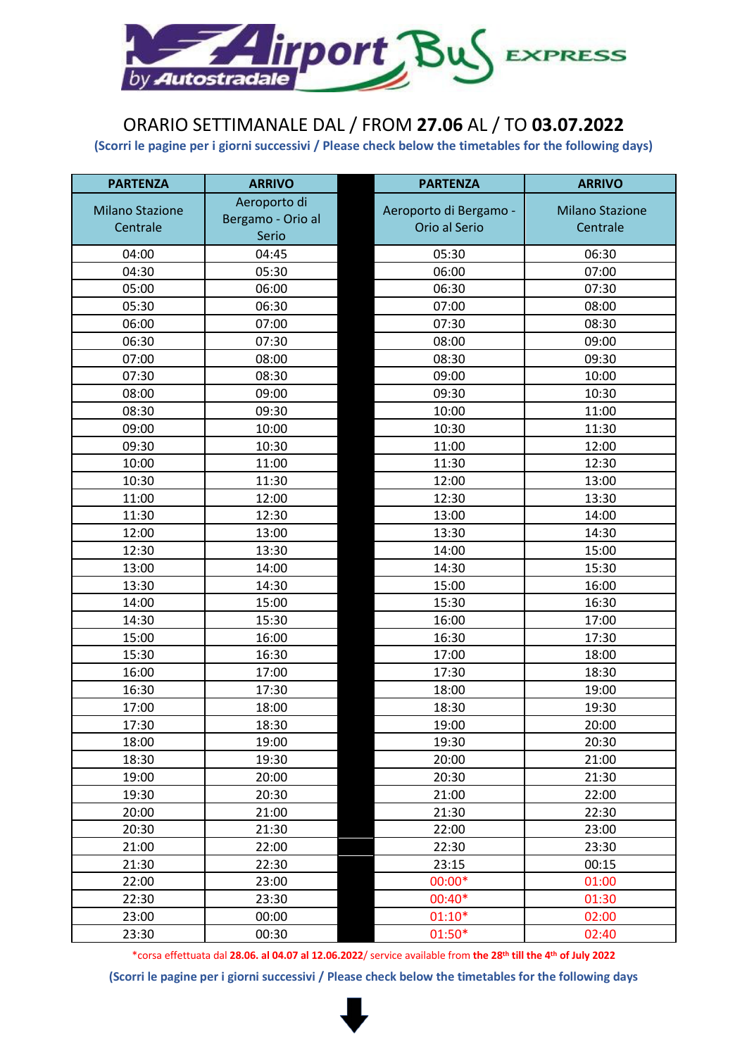

## ORARIO SETTIMANALE DAL / FROM **27.06** AL / TO **03.07.2022**

**(Scorri le pagine per i giorni successivi / Please check below the timetables for the following days)**

| <b>PARTENZA</b>        | <b>ARRIVO</b>     | <b>PARTENZA</b>        | <b>ARRIVO</b>          |
|------------------------|-------------------|------------------------|------------------------|
| <b>Milano Stazione</b> | Aeroporto di      | Aeroporto di Bergamo - | <b>Milano Stazione</b> |
| Centrale               | Bergamo - Orio al | Orio al Serio          | Centrale               |
|                        | Serio             |                        |                        |
| 04:00                  | 04:45             | 05:30                  | 06:30                  |
| 04:30                  | 05:30             | 06:00                  | 07:00                  |
| 05:00                  | 06:00             | 06:30                  | 07:30                  |
| 05:30                  | 06:30             | 07:00                  | 08:00                  |
| 06:00                  | 07:00             | 07:30                  | 08:30                  |
| 06:30                  | 07:30             | 08:00                  | 09:00                  |
| 07:00                  | 08:00             | 08:30                  | 09:30                  |
| 07:30                  | 08:30             | 09:00                  | 10:00                  |
| 08:00                  | 09:00             | 09:30                  | 10:30                  |
| 08:30                  | 09:30             | 10:00                  | 11:00                  |
| 09:00                  | 10:00             | 10:30                  | 11:30                  |
| 09:30                  | 10:30             | 11:00                  | 12:00                  |
| 10:00                  | 11:00             | 11:30                  | 12:30                  |
| 10:30                  | 11:30             | 12:00                  | 13:00                  |
| 11:00                  | 12:00             | 12:30                  | 13:30                  |
| 11:30                  | 12:30             | 13:00                  | 14:00                  |
| 12:00                  | 13:00             | 13:30                  | 14:30                  |
| 12:30                  | 13:30             | 14:00                  | 15:00                  |
| 13:00                  | 14:00             | 14:30                  | 15:30                  |
| 13:30                  | 14:30             | 15:00                  | 16:00                  |
| 14:00                  | 15:00             | 15:30                  | 16:30                  |
| 14:30                  | 15:30             | 16:00                  | 17:00                  |
| 15:00                  | 16:00             | 16:30                  | 17:30                  |
| 15:30                  | 16:30             | 17:00                  | 18:00                  |
| 16:00                  | 17:00             | 17:30                  | 18:30                  |
| 16:30                  | 17:30             | 18:00                  | 19:00                  |
| 17:00                  | 18:00             | 18:30                  | 19:30                  |
| 17:30                  | 18:30             | 19:00                  | 20:00                  |
| 18:00                  | 19:00             | 19:30                  | 20:30                  |
| 18:30                  | 19:30             | 20:00                  | 21:00                  |
| 19:00                  | 20:00             | 20:30                  | 21:30                  |
| 19:30                  | 20:30             | 21:00                  | 22:00                  |
| 20:00                  | 21:00             | 21:30                  | 22:30                  |
| 20:30                  | 21:30             | 22:00                  | 23:00                  |
| 21:00                  | 22:00             | 22:30                  | 23:30                  |
| 21:30                  | 22:30             | 23:15                  | 00:15                  |
| 22:00                  | 23:00             | 00:00*                 | 01:00                  |
| 22:30                  | 23:30             | 00:40*                 | 01:30                  |
| 23:00                  | 00:00             | $01:10*$               | 02:00                  |
| 23:30                  | 00:30             | $01:50*$               | 02:40                  |

\*corsa effettuata dal **28.06. al 04.07 al 12.06.2022**/ service available from **the 28th till the 4th of July 2022**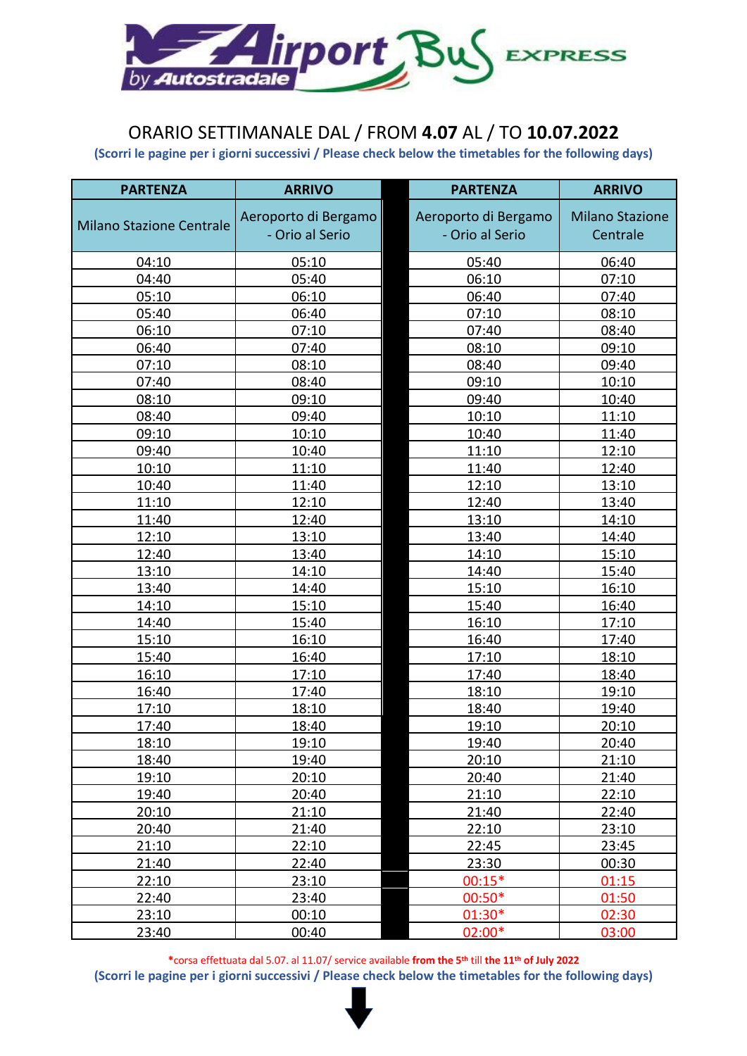

### ORARIO SETTIMANALE DAL / FROM **4.07** AL / TO **10.07.2022**

**(Scorri le pagine per i giorni successivi / Please check below the timetables for the following days)**

| <b>PARTENZA</b>                 | <b>ARRIVO</b>        | <b>PARTENZA</b>      | <b>ARRIVO</b>          |
|---------------------------------|----------------------|----------------------|------------------------|
|                                 | Aeroporto di Bergamo | Aeroporto di Bergamo | <b>Milano Stazione</b> |
| <b>Milano Stazione Centrale</b> | - Orio al Serio      | - Orio al Serio      | Centrale               |
|                                 |                      |                      |                        |
| 04:10                           | 05:10                | 05:40                | 06:40                  |
| 04:40                           | 05:40                | 06:10                | 07:10                  |
| 05:10                           | 06:10                | 06:40                | 07:40                  |
| 05:40                           | 06:40                | 07:10                | 08:10                  |
| 06:10                           | 07:10                | 07:40                | 08:40                  |
| 06:40                           | 07:40                | 08:10                | 09:10                  |
| 07:10                           | 08:10                | 08:40                | 09:40                  |
| 07:40                           | 08:40                | 09:10                | 10:10                  |
| 08:10                           | 09:10                | 09:40                | 10:40                  |
| 08:40                           | 09:40                | 10:10                | 11:10                  |
| 09:10                           | 10:10                | 10:40                | 11:40                  |
| 09:40                           | 10:40                | 11:10                | 12:10                  |
| 10:10                           | 11:10                | 11:40                | 12:40                  |
| 10:40                           | 11:40                | 12:10                | 13:10                  |
| 11:10                           | 12:10                | 12:40                | 13:40                  |
| 11:40                           | 12:40                | 13:10                | 14:10                  |
| 12:10                           | 13:10                | 13:40                | 14:40                  |
| 12:40                           | 13:40                | 14:10                | 15:10                  |
| 13:10                           | 14:10                | 14:40                | 15:40                  |
| 13:40                           | 14:40                | 15:10                | 16:10                  |
| 14:10                           | 15:10                | 15:40                | 16:40                  |
| 14:40                           | 15:40                | 16:10                | 17:10                  |
| 15:10                           | 16:10                | 16:40                | 17:40                  |
| 15:40                           | 16:40                | 17:10                | 18:10                  |
| 16:10                           | 17:10                | 17:40                | 18:40                  |
| 16:40                           | 17:40                | 18:10                | 19:10                  |
| 17:10                           | 18:10                | 18:40                | 19:40                  |
| 17:40                           | 18:40                | 19:10                | 20:10                  |
| 18:10                           | 19:10                | 19:40                | 20:40                  |
| 18:40                           | 19:40                | 20:10                | 21:10                  |
| 19:10                           | 20:10                | 20:40                | 21:40                  |
| 19:40                           | 20:40                | 21:10                | 22:10                  |
| 20:10                           | 21:10                | 21:40                | 22:40                  |
| 20:40                           | 21:40                | 22:10                | 23:10                  |
| 21:10                           | 22:10                | 22:45                | 23:45                  |
| 21:40                           | 22:40                | 23:30                | 00:30                  |
| 22:10                           | 23:10                | $00:15*$             | 01:15                  |
| 22:40                           | 23:40                | $00:50*$             | 01:50                  |
| 23:10                           | 00:10                | 01:30*               | 02:30                  |
| 23:40                           | 00:40                | 02:00*               | 03:00                  |

**\***corsa effettuata dal 5.07. al 11.07/ service available **from the 5th** till **the 11th of July 2022**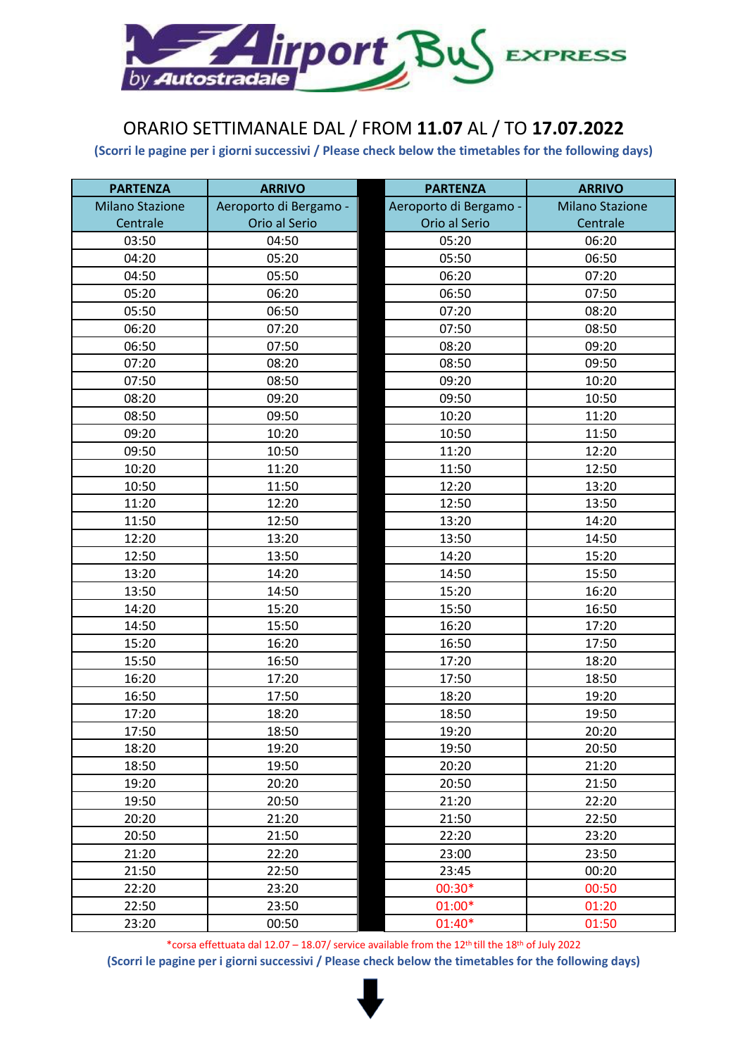

## ORARIO SETTIMANALE DAL / FROM **11.07** AL / TO **17.07.2022**

**(Scorri le pagine per i giorni successivi / Please check below the timetables for the following days)**

| <b>PARTENZA</b>        | <b>ARRIVO</b>          | <b>PARTENZA</b>        | <b>ARRIVO</b>          |
|------------------------|------------------------|------------------------|------------------------|
| <b>Milano Stazione</b> | Aeroporto di Bergamo - | Aeroporto di Bergamo - | <b>Milano Stazione</b> |
| Centrale               | Orio al Serio          | Orio al Serio          | Centrale               |
| 03:50                  | 04:50                  | 05:20                  | 06:20                  |
| 04:20                  | 05:20                  | 05:50                  | 06:50                  |
| 04:50                  | 05:50                  | 06:20                  | 07:20                  |
| 05:20                  | 06:20                  | 06:50                  | 07:50                  |
| 05:50                  | 06:50                  | 07:20                  | 08:20                  |
| 06:20                  | 07:20                  | 07:50                  | 08:50                  |
| 06:50                  | 07:50                  | 08:20                  | 09:20                  |
| 07:20                  | 08:20                  | 08:50                  | 09:50                  |
| 07:50                  | 08:50                  | 09:20                  | 10:20                  |
| 08:20                  | 09:20                  | 09:50                  | 10:50                  |
| 08:50                  | 09:50                  | 10:20                  | 11:20                  |
| 09:20                  | 10:20                  | 10:50                  | 11:50                  |
| 09:50                  | 10:50                  | 11:20                  | 12:20                  |
| 10:20                  | 11:20                  | 11:50                  | 12:50                  |
| 10:50                  | 11:50                  | 12:20                  | 13:20                  |
| 11:20                  | 12:20                  | 12:50                  | 13:50                  |
| 11:50                  | 12:50                  | 13:20                  | 14:20                  |
| 12:20                  | 13:20                  | 13:50                  | 14:50                  |
| 12:50                  | 13:50                  | 14:20                  | 15:20                  |
| 13:20                  | 14:20                  | 14:50                  | 15:50                  |
| 13:50                  | 14:50                  | 15:20                  | 16:20                  |
| 14:20                  | 15:20                  | 15:50                  | 16:50                  |
| 14:50                  | 15:50                  | 16:20                  | 17:20                  |
| 15:20                  | 16:20                  | 16:50                  | 17:50                  |
| 15:50                  | 16:50                  | 17:20                  | 18:20                  |
| 16:20                  | 17:20                  | 17:50                  | 18:50                  |
| 16:50                  | 17:50                  | 18:20                  | 19:20                  |
| 17:20                  | 18:20                  | 18:50                  | 19:50                  |
| 17:50                  | 18:50                  | 19:20                  | 20:20                  |
| 18:20                  | 19:20                  | 19:50                  | 20:50                  |
| 18:50                  | 19:50                  | 20:20                  | 21:20                  |
| 19:20                  | 20:20                  | 20:50                  | 21:50                  |
| 19:50                  | 20:50                  | 21:20                  | 22:20                  |
| 20:20                  | 21:20                  | 21:50                  | 22:50                  |
| 20:50                  | 21:50                  | 22:20                  | 23:20                  |
| 21:20                  | 22:20                  | 23:00                  | 23:50                  |
| 21:50                  | 22:50                  | 23:45                  | 00:20                  |
| 22:20                  | 23:20                  | 00:30*                 | 00:50                  |
| 22:50                  | 23:50                  | $01:00*$               | 01:20                  |
| 23:20                  | 00:50                  | 01:40*                 | 01:50                  |

\*corsa effettuata dal 12.07 – 18.07/ service available from the 12th till the 18th of July 2022 **(Scorri le pagine per i giorni successivi / Please check below the timetables for the following days)**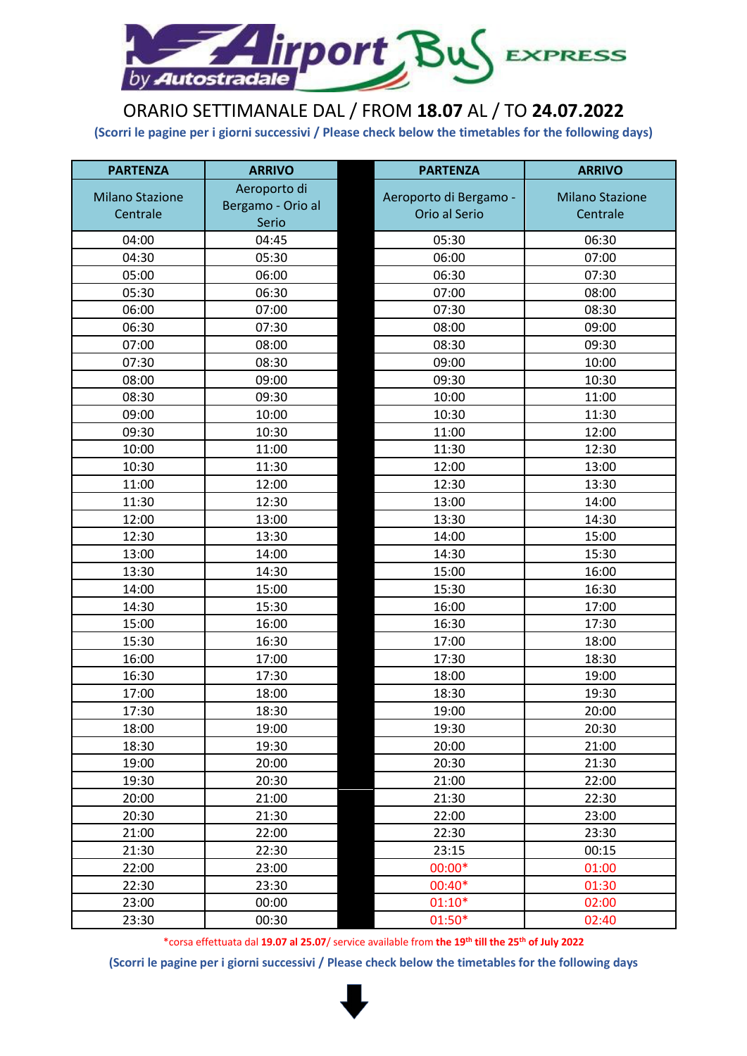

# ORARIO SETTIMANALE DAL / FROM **18.07** AL / TO **24.07.2022**

**(Scorri le pagine per i giorni successivi / Please check below the timetables for the following days)**

| <b>PARTENZA</b>        | <b>ARRIVO</b>     |  | <b>ARRIVO</b>                           |                        |
|------------------------|-------------------|--|-----------------------------------------|------------------------|
| <b>Milano Stazione</b> | Aeroporto di      |  |                                         | <b>Milano Stazione</b> |
| Centrale               | Bergamo - Orio al |  | Aeroporto di Bergamo -<br>Orio al Serio | Centrale               |
|                        | Serio             |  |                                         |                        |
| 04:00                  | 04:45             |  | 05:30                                   | 06:30                  |
| 04:30                  | 05:30             |  | 06:00                                   | 07:00                  |
| 05:00                  | 06:00             |  | 06:30                                   | 07:30                  |
| 05:30                  | 06:30             |  | 07:00                                   | 08:00                  |
| 06:00                  | 07:00             |  | 07:30                                   | 08:30                  |
| 06:30                  | 07:30             |  | 08:00                                   | 09:00                  |
| 07:00                  | 08:00             |  | 08:30                                   | 09:30                  |
| 07:30                  | 08:30             |  | 09:00                                   | 10:00                  |
| 08:00                  | 09:00             |  | 09:30                                   | 10:30                  |
| 08:30                  | 09:30             |  | 10:00                                   | 11:00                  |
| 09:00                  | 10:00             |  | 10:30                                   | 11:30                  |
| 09:30                  | 10:30             |  | 11:00                                   | 12:00                  |
| 10:00                  | 11:00             |  | 11:30                                   | 12:30                  |
| 10:30                  | 11:30             |  | 12:00                                   | 13:00                  |
| 11:00                  | 12:00             |  | 12:30                                   | 13:30                  |
| 11:30                  | 12:30             |  | 13:00                                   | 14:00                  |
| 12:00                  | 13:00             |  | 13:30                                   | 14:30                  |
| 12:30                  | 13:30             |  | 14:00                                   | 15:00                  |
| 13:00                  | 14:00             |  | 14:30                                   | 15:30                  |
| 13:30                  | 14:30             |  | 15:00                                   | 16:00                  |
| 14:00                  | 15:00             |  | 15:30                                   | 16:30                  |
| 14:30                  | 15:30             |  | 16:00                                   | 17:00                  |
| 15:00                  | 16:00             |  | 16:30                                   | 17:30                  |
| 15:30                  | 16:30             |  | 17:00                                   | 18:00                  |
| 16:00                  | 17:00             |  | 17:30                                   | 18:30                  |
| 16:30                  | 17:30             |  | 18:00                                   | 19:00                  |
| 17:00                  | 18:00             |  | 18:30                                   | 19:30                  |
| 17:30                  | 18:30             |  | 19:00                                   | 20:00                  |
| 18:00                  | 19:00             |  | 19:30                                   | 20:30                  |
| 18:30                  | 19:30             |  | 20:00                                   | 21:00                  |
| 19:00                  | 20:00             |  | 20:30                                   | 21:30                  |
| 19:30                  | 20:30             |  | 21:00                                   | 22:00                  |
| 20:00                  | 21:00             |  | 21:30                                   | 22:30                  |
| 20:30                  | 21:30             |  | 22:00                                   | 23:00                  |
| 21:00                  | 22:00             |  | 22:30                                   | 23:30                  |
| 21:30                  | 22:30             |  | 23:15                                   | 00:15                  |
| 22:00                  | 23:00             |  | $00:00*$                                | 01:00                  |
| 22:30                  | 23:30             |  | 00:40*                                  | 01:30                  |
| 23:00                  | 00:00             |  | $01:10*$                                | 02:00                  |
| 23:30                  | 00:30             |  | $01:50*$                                | 02:40                  |

\*corsa effettuata dal **19.07 al 25.07**/ service available from **the 19th till the 25th of July 2022**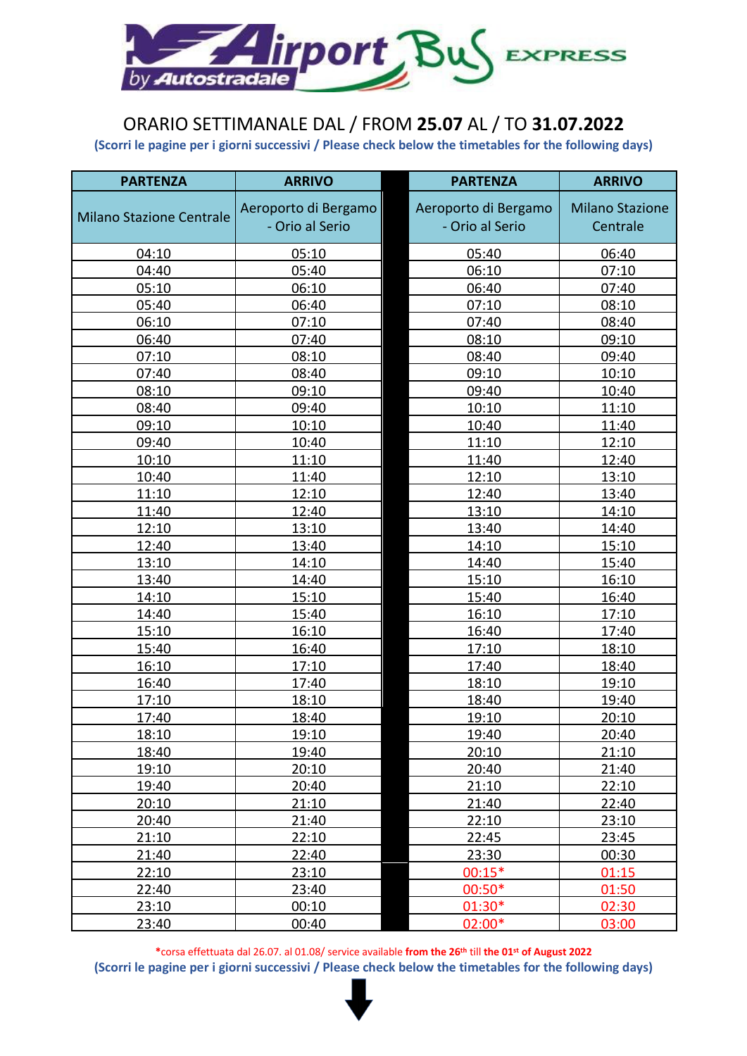

# ORARIO SETTIMANALE DAL / FROM **25.07** AL / TO **31.07.2022**

**(Scorri le pagine per i giorni successivi / Please check below the timetables for the following days)**

| <b>PARTENZA</b>                 | <b>ARRIVO</b>        | <b>PARTENZA</b>      | <b>ARRIVO</b>          |
|---------------------------------|----------------------|----------------------|------------------------|
|                                 | Aeroporto di Bergamo | Aeroporto di Bergamo | <b>Milano Stazione</b> |
| <b>Milano Stazione Centrale</b> | - Orio al Serio      | - Orio al Serio      | Centrale               |
|                                 |                      |                      |                        |
| 04:10                           | 05:10                | 05:40                | 06:40                  |
| 04:40                           | 05:40                | 06:10                | 07:10                  |
| 05:10                           | 06:10                | 06:40                | 07:40                  |
| 05:40                           | 06:40                | 07:10                | 08:10                  |
| 06:10                           | 07:10                | 07:40                | 08:40                  |
| 06:40                           | 07:40                | 08:10                | 09:10                  |
| 07:10                           | 08:10                | 08:40                | 09:40                  |
| 07:40                           | 08:40                | 09:10                | 10:10                  |
| 08:10                           | 09:10                | 09:40                | 10:40                  |
| 08:40                           | 09:40                | 10:10                | 11:10                  |
| 09:10                           | 10:10                | 10:40                | 11:40                  |
| 09:40                           | 10:40                | 11:10                | 12:10                  |
| 10:10                           | 11:10                | 11:40                | 12:40                  |
| 10:40                           | 11:40                | 12:10                | 13:10                  |
| 11:10                           | 12:10                | 12:40                | 13:40                  |
| 11:40                           | 12:40                | 13:10                | 14:10                  |
| 12:10                           | 13:10                | 13:40                | 14:40                  |
| 12:40                           | 13:40                | 14:10                | 15:10                  |
| 13:10                           | 14:10                | 14:40                | 15:40                  |
| 13:40                           | 14:40                | 15:10                | 16:10                  |
| 14:10                           | 15:10                | 15:40                | 16:40                  |
| 14:40                           | 15:40                | 16:10                | 17:10                  |
| 15:10                           | 16:10                | 16:40                | 17:40                  |
| 15:40                           | 16:40                | 17:10                | 18:10                  |
| 16:10                           | 17:10                | 17:40                | 18:40                  |
| 16:40                           | 17:40                | 18:10                | 19:10                  |
| 17:10                           | 18:10                | 18:40                | 19:40                  |
| 17:40                           | 18:40                | 19:10                | 20:10                  |
| 18:10                           | 19:10                | 19:40                | 20:40                  |
| 18:40                           | 19:40                | 20:10                | 21:10                  |
| 19:10                           | 20:10                | 20:40                | 21:40                  |
| 19:40                           | 20:40                | 21:10                | 22:10                  |
| 20:10                           | 21:10                | 21:40                | 22:40                  |
| 20:40                           | 21:40                | 22:10                | 23:10                  |
| 21:10                           | 22:10                | 22:45                | 23:45                  |
| 21:40                           | 22:40                | 23:30                | 00:30                  |
| 22:10                           | 23:10                | $00:15*$             | 01:15                  |
| 22:40                           | 23:40                | $00:50*$             | 01:50                  |
| 23:10                           | 00:10                | 01:30*               | 02:30                  |
| 23:40                           | 00:40                | 02:00*               | 03:00                  |

**\***corsa effettuata dal 26.07. al 01.08/ service available **from the 26th** till **the 01st of August 2022**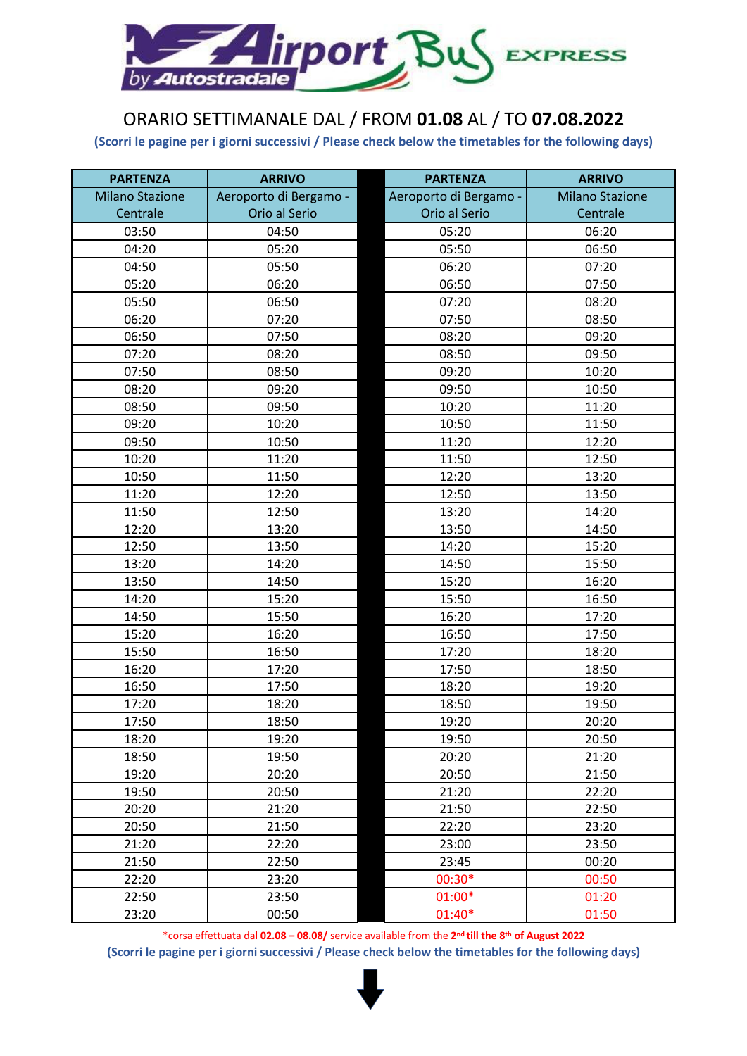

# ORARIO SETTIMANALE DAL / FROM **01.08** AL / TO **07.08.2022**

**(Scorri le pagine per i giorni successivi / Please check below the timetables for the following days)**

| <b>PARTENZA</b>        | <b>ARRIVO</b>          | <b>PARTENZA</b>        | <b>ARRIVO</b>          |
|------------------------|------------------------|------------------------|------------------------|
| <b>Milano Stazione</b> | Aeroporto di Bergamo - | Aeroporto di Bergamo - | <b>Milano Stazione</b> |
| Centrale               | Orio al Serio          | Orio al Serio          | Centrale               |
| 03:50                  | 04:50                  | 05:20                  | 06:20                  |
| 04:20                  | 05:20                  | 05:50                  | 06:50                  |
| 04:50                  | 05:50                  | 06:20                  | 07:20                  |
| 05:20                  | 06:20                  | 06:50                  | 07:50                  |
| 05:50                  | 06:50                  | 07:20                  | 08:20                  |
| 06:20                  | 07:20                  | 07:50                  | 08:50                  |
| 06:50                  | 07:50                  | 08:20                  | 09:20                  |
| 07:20                  | 08:20                  | 08:50                  | 09:50                  |
| 07:50                  | 08:50                  | 09:20                  | 10:20                  |
| 08:20                  | 09:20                  | 09:50                  | 10:50                  |
| 08:50                  | 09:50                  | 10:20                  | 11:20                  |
| 09:20                  | 10:20                  | 10:50                  | 11:50                  |
| 09:50                  | 10:50                  | 11:20                  | 12:20                  |
| 10:20                  | 11:20                  | 11:50                  | 12:50                  |
| 10:50                  | 11:50                  | 12:20                  | 13:20                  |
| 11:20                  | 12:20                  | 12:50                  | 13:50                  |
| 11:50                  | 12:50                  | 13:20                  | 14:20                  |
| 12:20                  | 13:20                  | 13:50                  | 14:50                  |
| 12:50                  | 13:50                  | 14:20                  | 15:20                  |
| 13:20                  | 14:20                  | 14:50                  | 15:50                  |
| 13:50                  | 14:50                  | 15:20                  | 16:20                  |
| 14:20                  | 15:20                  | 15:50                  | 16:50                  |
| 14:50                  | 15:50                  | 16:20                  | 17:20                  |
| 15:20                  | 16:20                  | 16:50                  | 17:50                  |
| 15:50                  | 16:50                  | 17:20                  | 18:20                  |
| 16:20                  | 17:20                  | 17:50                  | 18:50                  |
| 16:50                  | 17:50                  | 18:20                  | 19:20                  |
| 17:20                  | 18:20                  | 18:50                  | 19:50                  |
| 17:50                  | 18:50                  | 19:20                  | 20:20                  |
| 18:20                  | 19:20                  | 19:50                  | 20:50                  |
| 18:50                  | 19:50                  | 20:20                  | 21:20                  |
| 19:20                  | 20:20                  | 20:50                  | 21:50                  |
| 19:50                  | 20:50                  | 21:20                  | 22:20                  |
| 20:20                  | 21:20                  | 21:50                  | 22:50                  |
| 20:50                  | 21:50                  | 22:20                  | 23:20                  |
| 21:20                  | 22:20                  | 23:00                  | 23:50                  |
| 21:50                  | 22:50                  | 23:45                  | 00:20                  |
| 22:20                  | 23:20                  | 00:30*                 | 00:50                  |
| 22:50                  | 23:50                  | $01:00*$               | 01:20                  |
| 23:20                  | 00:50                  | 01:40*                 | 01:50                  |

\*corsa effettuata dal **02.08 – 08.08/** service available from the **2nd till the 8th of August 2022**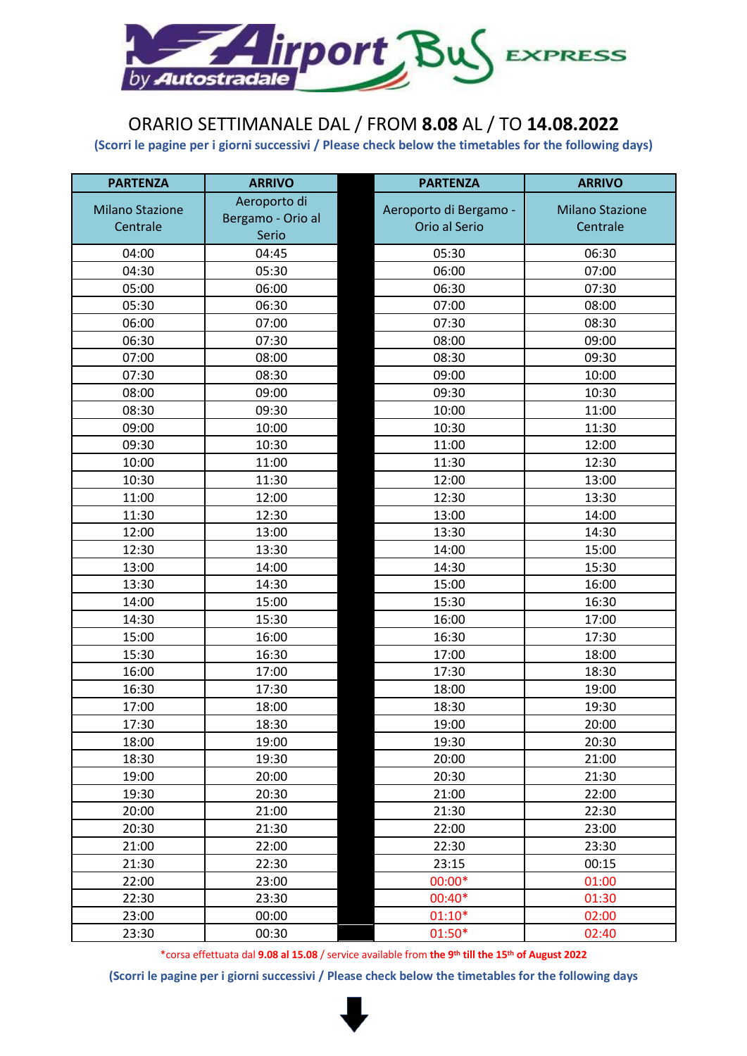

#### ORARIO SETTIMANALE DAL / FROM **8.08** AL / TO **14.08.2022**

**(Scorri le pagine per i giorni successivi / Please check below the timetables for the following days)**

| <b>PARTENZA</b>        | <b>ARRIVO</b>     | <b>PARTENZA</b>        | <b>ARRIVO</b>          |
|------------------------|-------------------|------------------------|------------------------|
| <b>Milano Stazione</b> | Aeroporto di      | Aeroporto di Bergamo - | <b>Milano Stazione</b> |
| Centrale               | Bergamo - Orio al | Orio al Serio          | Centrale               |
|                        | Serio             |                        |                        |
| 04:00                  | 04:45             | 05:30                  | 06:30                  |
| 04:30                  | 05:30             | 06:00                  | 07:00                  |
| 05:00                  | 06:00             | 06:30                  | 07:30                  |
| 05:30                  | 06:30             | 07:00                  | 08:00                  |
| 06:00                  | 07:00             | 07:30                  | 08:30                  |
| 06:30                  | 07:30             | 08:00                  | 09:00                  |
| 07:00                  | 08:00             | 08:30                  | 09:30                  |
| 07:30                  | 08:30             | 09:00                  | 10:00                  |
| 08:00                  | 09:00             | 09:30                  | 10:30                  |
| 08:30                  | 09:30             | 10:00                  | 11:00                  |
| 09:00                  | 10:00             | 10:30                  | 11:30                  |
| 09:30                  | 10:30             | 11:00                  | 12:00                  |
| 10:00                  | 11:00             | 11:30                  | 12:30                  |
| 10:30                  | 11:30             | 12:00                  | 13:00                  |
| 11:00                  | 12:00             | 12:30                  | 13:30                  |
| 11:30                  | 12:30             | 13:00                  | 14:00                  |
| 12:00                  | 13:00             | 13:30                  | 14:30                  |
| 12:30                  | 13:30             | 14:00                  | 15:00                  |
| 13:00                  | 14:00             | 14:30                  | 15:30                  |
| 13:30                  | 14:30             | 15:00                  | 16:00                  |
| 14:00                  | 15:00             | 15:30                  | 16:30                  |
| 14:30                  | 15:30             | 16:00                  | 17:00                  |
| 15:00                  | 16:00             | 16:30                  | 17:30                  |
| 15:30                  | 16:30             | 17:00                  | 18:00                  |
| 16:00                  | 17:00             | 17:30                  | 18:30                  |
| 16:30                  | 17:30             | 18:00                  | 19:00                  |
| 17:00                  | 18:00             | 18:30                  | 19:30                  |
| 17:30                  | 18:30             | 19:00                  | 20:00                  |
| 18:00                  | 19:00             | 19:30                  | 20:30                  |
| 18:30                  | 19:30             | 20:00                  | 21:00                  |
| 19:00                  | 20:00             | 20:30                  | 21:30                  |
| 19:30                  | 20:30             | 21:00                  | 22:00                  |
| 20:00                  | 21:00             | 21:30                  | 22:30                  |
| 20:30                  | 21:30             | 22:00                  | 23:00                  |
| 21:00                  | 22:00             | 22:30                  | 23:30                  |
| 21:30                  | 22:30             | 23:15                  | 00:15                  |
| 22:00                  | 23:00             | $00:00*$               | 01:00                  |
| 22:30                  | 23:30             | 00:40*                 | 01:30                  |
| 23:00                  | 00:00             | $01:10*$               | 02:00                  |
| 23:30                  | 00:30             | $01:50*$               | 02:40                  |

\*corsa effettuata dal **9.08 al 15.08** / service available from **the 9th till the 15th of August 2022**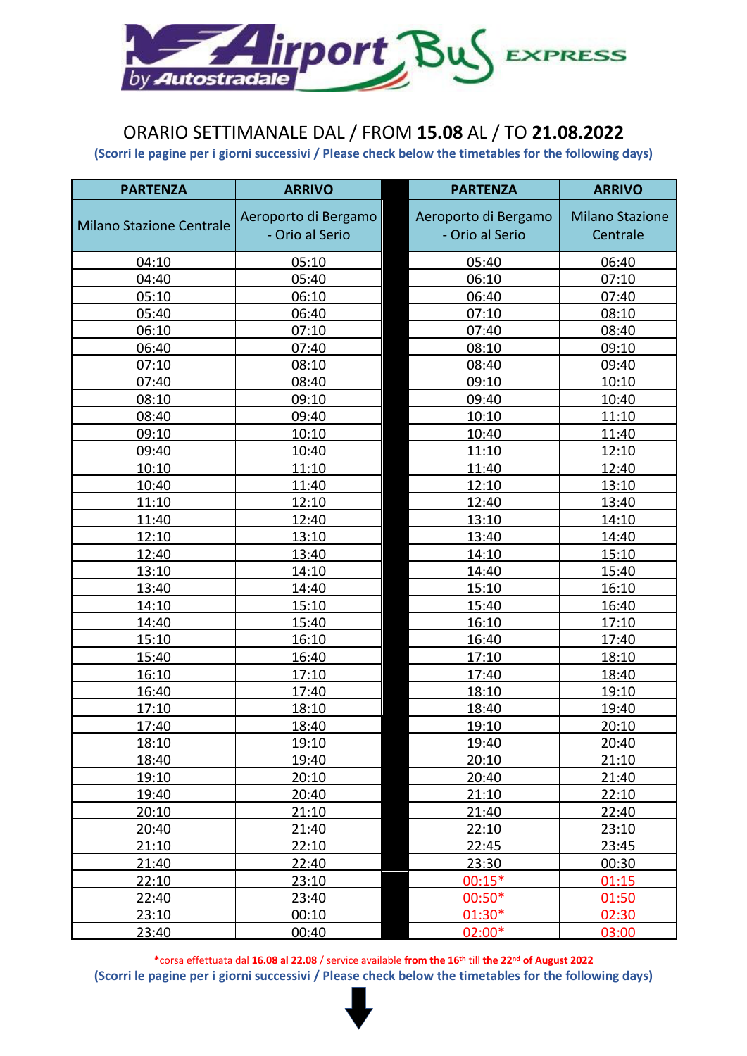

### ORARIO SETTIMANALE DAL / FROM **15.08** AL / TO **21.08.2022**

**(Scorri le pagine per i giorni successivi / Please check below the timetables for the following days)**

| <b>PARTENZA</b>                 | <b>ARRIVO</b>        | <b>PARTENZA</b>      | <b>ARRIVO</b>          |
|---------------------------------|----------------------|----------------------|------------------------|
|                                 | Aeroporto di Bergamo | Aeroporto di Bergamo | <b>Milano Stazione</b> |
| <b>Milano Stazione Centrale</b> | - Orio al Serio      | - Orio al Serio      | Centrale               |
|                                 |                      |                      |                        |
| 04:10                           | 05:10                | 05:40                | 06:40                  |
| 04:40                           | 05:40                | 06:10                | 07:10                  |
| 05:10                           | 06:10                | 06:40                | 07:40                  |
| 05:40                           | 06:40                | 07:10                | 08:10                  |
| 06:10                           | 07:10                | 07:40                | 08:40                  |
| 06:40                           | 07:40                | 08:10                | 09:10                  |
| 07:10                           | 08:10                | 08:40                | 09:40                  |
| 07:40                           | 08:40                | 09:10                | 10:10                  |
| 08:10                           | 09:10                | 09:40                | 10:40                  |
| 08:40                           | 09:40                | 10:10                | 11:10                  |
| 09:10                           | 10:10                | 10:40                | 11:40                  |
| 09:40                           | 10:40                | 11:10                | 12:10                  |
| 10:10                           | 11:10                | 11:40                | 12:40                  |
| 10:40                           | 11:40                | 12:10                | 13:10                  |
| 11:10                           | 12:10                | 12:40                | 13:40                  |
| 11:40                           | 12:40                | 13:10                | 14:10                  |
| 12:10                           | 13:10                | 13:40                | 14:40                  |
| 12:40                           | 13:40                | 14:10                | 15:10                  |
| 13:10                           | 14:10                | 14:40                | 15:40                  |
| 13:40                           | 14:40                | 15:10                | 16:10                  |
| 14:10                           | 15:10                | 15:40                | 16:40                  |
| 14:40                           | 15:40                | 16:10                | 17:10                  |
| 15:10                           | 16:10                | 16:40                | 17:40                  |
| 15:40                           | 16:40                | 17:10                | 18:10                  |
| 16:10                           | 17:10                | 17:40                | 18:40                  |
| 16:40                           | 17:40                | 18:10                | 19:10                  |
| 17:10                           | 18:10                | 18:40                | 19:40                  |
| 17:40                           | 18:40                | 19:10                | 20:10                  |
| 18:10                           | 19:10                | 19:40                | 20:40                  |
| 18:40                           | 19:40                | 20:10                | 21:10                  |
| 19:10                           | 20:10                | 20:40                | 21:40                  |
| 19:40                           | 20:40                | 21:10                | 22:10                  |
| 20:10                           | 21:10                | 21:40                | 22:40                  |
| 20:40                           | 21:40                | 22:10                | 23:10                  |
| 21:10                           | 22:10                | 22:45                | 23:45                  |
| 21:40                           | 22:40                | 23:30                | 00:30                  |
| 22:10                           | 23:10                | $00:15*$             | 01:15                  |
| 22:40                           | 23:40                | $00:50*$             | 01:50                  |
| 23:10                           | 00:10                | 01:30*               | 02:30                  |
| 23:40                           | 00:40                | 02:00*               | 03:00                  |

**\***corsa effettuata dal **16.08 al 22.08** / service available **from the 16th** till **the 22nd of August 2022**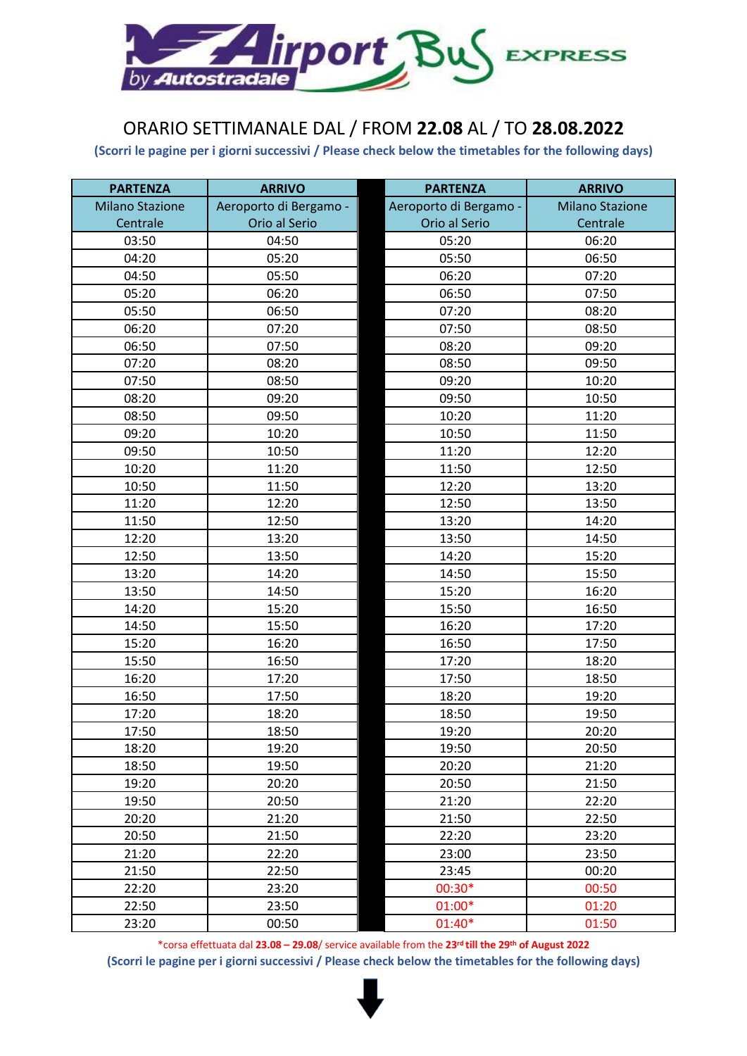

## ORARIO SETTIMANALE DAL / FROM **22.08** AL / TO **28.08.2022**

**(Scorri le pagine per i giorni successivi / Please check below the timetables for the following days)**

| <b>PARTENZA</b>        | <b>ARRIVO</b>          | <b>PARTENZA</b>        | <b>ARRIVO</b>          |
|------------------------|------------------------|------------------------|------------------------|
| <b>Milano Stazione</b> | Aeroporto di Bergamo - | Aeroporto di Bergamo - | <b>Milano Stazione</b> |
| Centrale               | Orio al Serio          | Orio al Serio          | Centrale               |
| 03:50                  | 04:50                  | 05:20                  | 06:20                  |
| 04:20                  | 05:20                  | 05:50                  | 06:50                  |
| 04:50                  | 05:50                  | 06:20                  | 07:20                  |
| 05:20                  | 06:20                  | 06:50                  | 07:50                  |
| 05:50                  | 06:50                  | 07:20                  | 08:20                  |
| 06:20                  | 07:20                  | 07:50                  | 08:50                  |
| 06:50                  | 07:50                  | 08:20                  | 09:20                  |
| 07:20                  | 08:20                  | 08:50                  | 09:50                  |
| 07:50                  | 08:50                  | 09:20                  | 10:20                  |
| 08:20                  | 09:20                  | 09:50                  | 10:50                  |
| 08:50                  | 09:50                  | 10:20                  | 11:20                  |
| 09:20                  | 10:20                  | 10:50                  | 11:50                  |
| 09:50                  | 10:50                  | 11:20                  | 12:20                  |
| 10:20                  | 11:20                  | 11:50                  | 12:50                  |
| 10:50                  | 11:50                  | 12:20                  | 13:20                  |
| 11:20                  | 12:20                  | 12:50                  | 13:50                  |
| 11:50                  | 12:50                  | 13:20                  | 14:20                  |
| 12:20                  | 13:20                  | 13:50                  | 14:50                  |
| 12:50                  | 13:50                  | 14:20                  | 15:20                  |
| 13:20                  | 14:20                  | 14:50                  | 15:50                  |
| 13:50                  | 14:50                  | 15:20                  | 16:20                  |
| 14:20                  | 15:20                  | 15:50                  | 16:50                  |
| 14:50                  | 15:50                  | 16:20                  | 17:20                  |
| 15:20                  | 16:20                  | 16:50                  | 17:50                  |
| 15:50                  | 16:50                  | 17:20                  | 18:20                  |
| 16:20                  | 17:20                  | 17:50                  | 18:50                  |
| 16:50                  | 17:50                  | 18:20                  | 19:20                  |
| 17:20                  | 18:20                  | 18:50                  | 19:50                  |
| 17:50                  | 18:50                  | 19:20                  | 20:20                  |
| 18:20                  | 19:20                  | 19:50                  | 20:50                  |
| 18:50                  | 19:50                  | 20:20                  | 21:20                  |
| 19:20                  | 20:20                  | 20:50                  | 21:50                  |
| 19:50                  | 20:50                  | 21:20                  | 22:20                  |
| 20:20                  | 21:20                  | 21:50                  | 22:50                  |
| 20:50                  | 21:50                  | 22:20                  | 23:20                  |
| 21:20                  | 22:20                  | 23:00                  | 23:50                  |
| 21:50                  | 22:50                  | 23:45                  | 00:20                  |
| 22:20                  | 23:20                  | 00:30*                 | 00:50                  |
| 22:50                  | 23:50                  | $01:00*$               | 01:20                  |
| 23:20                  | 00:50                  | 01:40*                 | 01:50                  |

\*corsa effettuata dal **23.08 – 29.08**/ service available from the **23rd till the 29th of August 2022 (Scorri le pagine per i giorni successivi / Please check below the timetables for the following days)**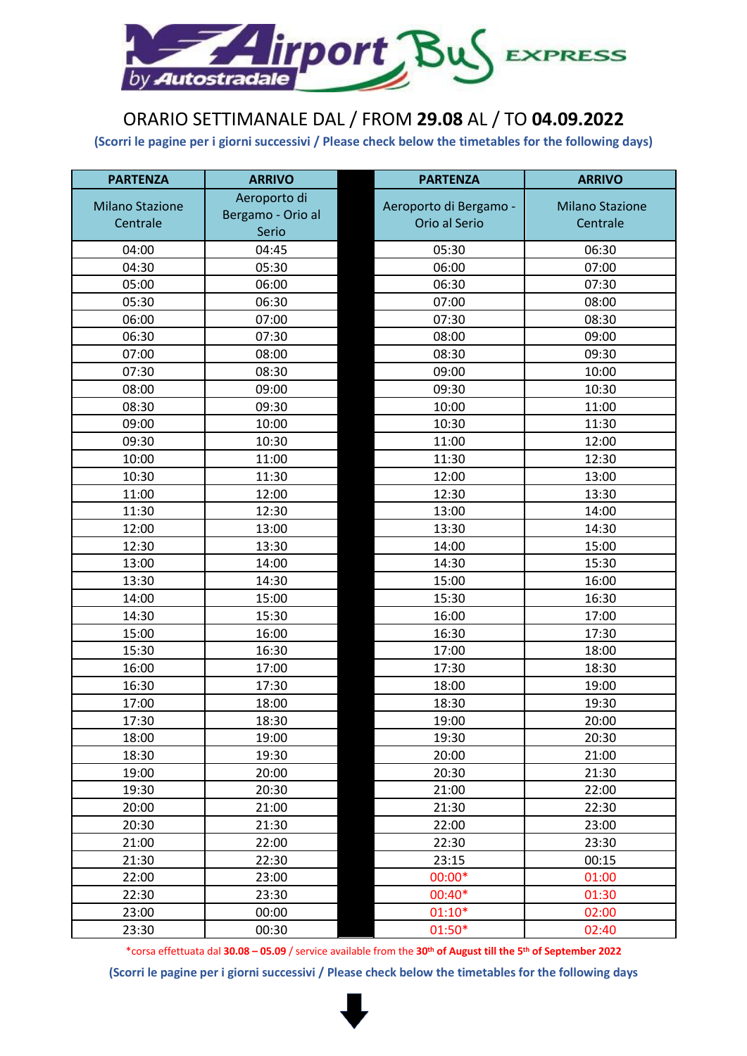

## ORARIO SETTIMANALE DAL / FROM **29.08** AL / TO **04.09.2022**

**(Scorri le pagine per i giorni successivi / Please check below the timetables for the following days)**

| <b>PARTENZA</b>        | <b>ARRIVO</b>     | <b>PARTENZA</b>        | <b>ARRIVO</b>          |
|------------------------|-------------------|------------------------|------------------------|
| <b>Milano Stazione</b> | Aeroporto di      | Aeroporto di Bergamo - | <b>Milano Stazione</b> |
| Centrale               | Bergamo - Orio al | Orio al Serio          | Centrale               |
|                        | Serio             |                        |                        |
| 04:00                  | 04:45             | 05:30                  | 06:30                  |
| 04:30                  | 05:30             | 06:00                  | 07:00                  |
| 05:00                  | 06:00             | 06:30                  | 07:30                  |
| 05:30                  | 06:30             | 07:00                  | 08:00                  |
| 06:00                  | 07:00             | 07:30                  | 08:30                  |
| 06:30                  | 07:30             | 08:00                  | 09:00                  |
| 07:00                  | 08:00             | 08:30                  | 09:30                  |
| 07:30                  | 08:30             | 09:00                  | 10:00                  |
| 08:00                  | 09:00             | 09:30                  | 10:30                  |
| 08:30                  | 09:30             | 10:00                  | 11:00                  |
| 09:00                  | 10:00             | 10:30                  | 11:30                  |
| 09:30                  | 10:30             | 11:00                  | 12:00                  |
| 10:00                  | 11:00             | 11:30                  | 12:30                  |
| 10:30                  | 11:30             | 12:00                  | 13:00                  |
| 11:00                  | 12:00             | 12:30                  | 13:30                  |
| 11:30                  | 12:30             | 13:00                  | 14:00                  |
| 12:00                  | 13:00             | 13:30                  | 14:30                  |
| 12:30                  | 13:30             | 14:00                  | 15:00                  |
| 13:00                  | 14:00             | 14:30                  | 15:30                  |
| 13:30                  | 14:30             | 15:00                  | 16:00                  |
| 14:00                  | 15:00             | 15:30                  | 16:30                  |
| 14:30                  | 15:30             | 16:00                  | 17:00                  |
| 15:00                  | 16:00             | 16:30                  | 17:30                  |
| 15:30                  | 16:30             | 17:00                  | 18:00                  |
| 16:00                  | 17:00             | 17:30                  | 18:30                  |
| 16:30                  | 17:30             | 18:00                  | 19:00                  |
| 17:00                  | 18:00             | 18:30                  | 19:30                  |
| 17:30                  | 18:30             | 19:00                  | 20:00                  |
| 18:00                  | 19:00             | 19:30                  | 20:30                  |
| 18:30                  | 19:30             | 20:00                  | 21:00                  |
| 19:00                  | 20:00             | 20:30                  | 21:30                  |
| 19:30                  | 20:30             | 21:00                  | 22:00                  |
| 20:00                  | 21:00             | 21:30                  | 22:30                  |
| 20:30                  | 21:30             | 22:00                  | 23:00                  |
| 21:00                  | 22:00             | 22:30                  | 23:30                  |
| 21:30                  | 22:30             | 23:15                  | 00:15                  |
| 22:00                  | 23:00             | $00:00*$               | 01:00                  |
| 22:30                  | 23:30             | 00:40*                 | 01:30                  |
| 23:00                  | 00:00             | $01:10*$               | 02:00                  |
| 23:30                  | 00:30             | 01:50*                 | 02:40                  |

\*corsa effettuata dal **30.08 – 05.09** / service available from the **30th of August till the 5th of September 2022**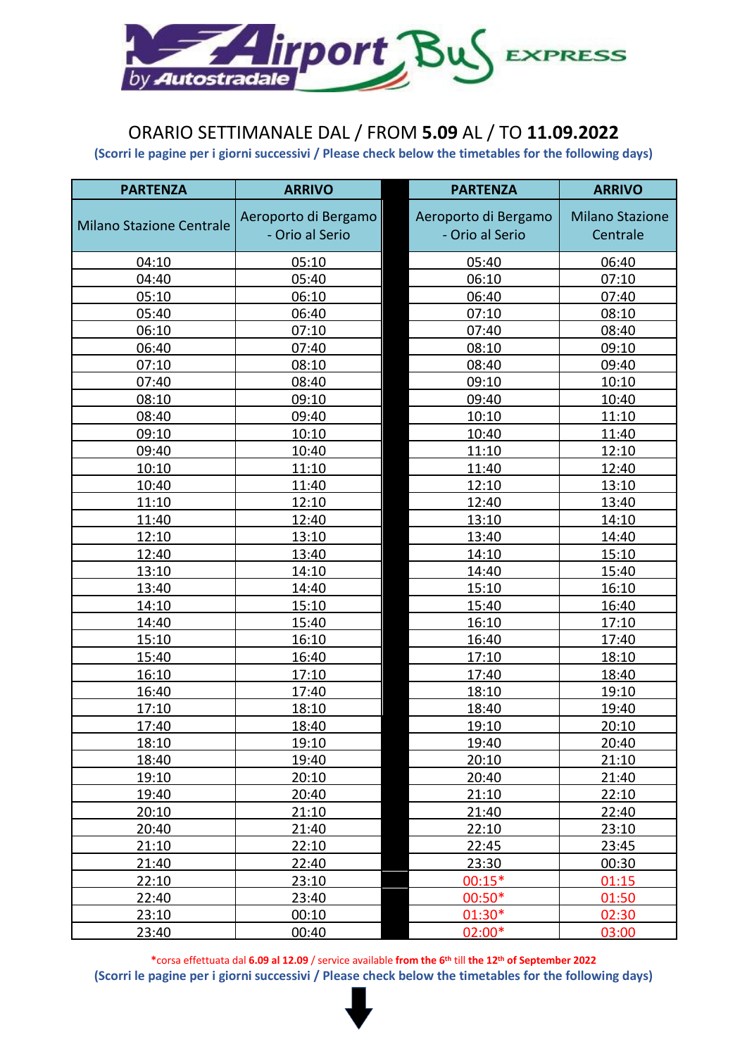

### ORARIO SETTIMANALE DAL / FROM **5.09** AL / TO **11.09.2022**

**(Scorri le pagine per i giorni successivi / Please check below the timetables for the following days)**

| <b>PARTENZA</b>                 | <b>ARRIVO</b>        | <b>PARTENZA</b>      | <b>ARRIVO</b>          |
|---------------------------------|----------------------|----------------------|------------------------|
|                                 | Aeroporto di Bergamo | Aeroporto di Bergamo | <b>Milano Stazione</b> |
| <b>Milano Stazione Centrale</b> | - Orio al Serio      | - Orio al Serio      | Centrale               |
|                                 |                      |                      |                        |
| 04:10                           | 05:10                | 05:40                | 06:40                  |
| 04:40                           | 05:40                | 06:10                | 07:10                  |
| 05:10                           | 06:10                | 06:40                | 07:40                  |
| 05:40                           | 06:40                | 07:10                | 08:10                  |
| 06:10                           | 07:10                | 07:40                | 08:40                  |
| 06:40                           | 07:40                | 08:10                | 09:10                  |
| 07:10                           | 08:10                | 08:40                | 09:40                  |
| 07:40                           | 08:40                | 09:10                | 10:10                  |
| 08:10                           | 09:10                | 09:40                | 10:40                  |
| 08:40                           | 09:40                | 10:10                | 11:10                  |
| 09:10                           | 10:10                | 10:40                | 11:40                  |
| 09:40                           | 10:40                | 11:10                | 12:10                  |
| 10:10                           | 11:10                | 11:40                | 12:40                  |
| 10:40                           | 11:40                | 12:10                | 13:10                  |
| 11:10                           | 12:10                | 12:40                | 13:40                  |
| 11:40                           | 12:40                | 13:10                | 14:10                  |
| 12:10                           | 13:10                | 13:40                | 14:40                  |
| 12:40                           | 13:40                | 14:10                | 15:10                  |
| 13:10                           | 14:10                | 14:40                | 15:40                  |
| 13:40                           | 14:40                | 15:10                | 16:10                  |
| 14:10                           | 15:10                | 15:40                | 16:40                  |
| 14:40                           | 15:40                | 16:10                | 17:10                  |
| 15:10                           | 16:10                | 16:40                | 17:40                  |
| 15:40                           | 16:40                | 17:10                | 18:10                  |
| 16:10                           | 17:10                | 17:40                | 18:40                  |
| 16:40                           | 17:40                | 18:10                | 19:10                  |
| 17:10                           | 18:10                | 18:40                | 19:40                  |
| 17:40                           | 18:40                | 19:10                | 20:10                  |
| 18:10                           | 19:10                | 19:40                | 20:40                  |
| 18:40                           | 19:40                | 20:10                | 21:10                  |
| 19:10                           | 20:10                | 20:40                | 21:40                  |
| 19:40                           | 20:40                | 21:10                | 22:10                  |
| 20:10                           | 21:10                | 21:40                | 22:40                  |
| 20:40                           | 21:40                | 22:10                | 23:10                  |
| 21:10                           | 22:10                | 22:45                | 23:45                  |
| 21:40                           | 22:40                | 23:30                | 00:30                  |
| 22:10                           | 23:10                | $00:15*$             | 01:15                  |
| 22:40                           | 23:40                | $00:50*$             | 01:50                  |
| 23:10                           | 00:10                | 01:30*               | 02:30                  |
| 23:40                           | 00:40                | 02:00*               | 03:00                  |

**\***corsa effettuata dal **6.09 al 12.09** / service available **from the 6th** till **the 12th of September 2022**